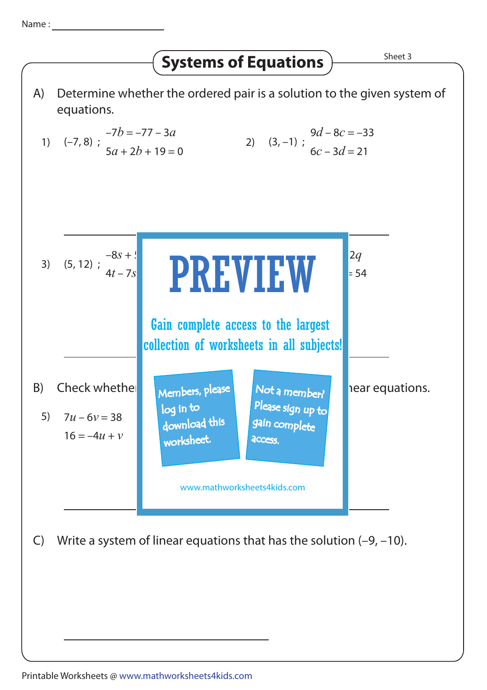